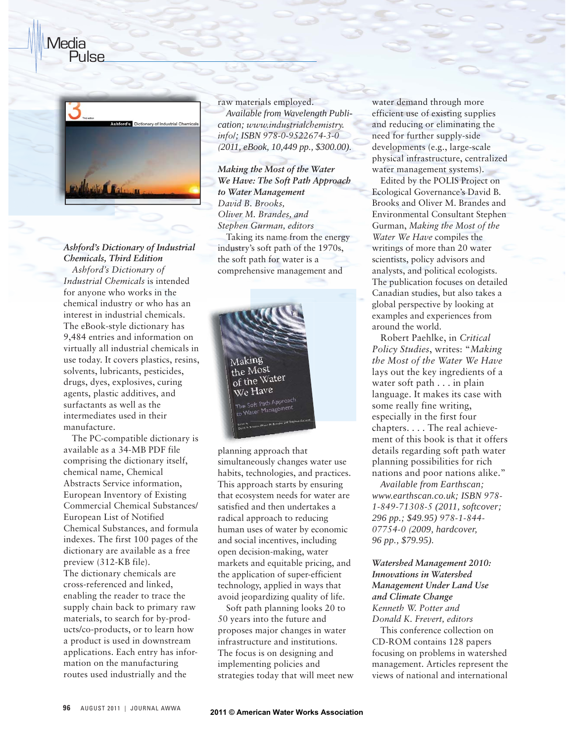

Pulse

Media

## *Ashford's Dictionary of Industrial Chemicals, Third Edition*

*Ashford's Dictionary of Industrial Chemicals* is intended for anyone who works in the chemical industry or who has an interest in industrial chemicals. The eBook-style dictionary has 9,484 entries and information on virtually all industrial chemicals in use today. It covers plastics, resins, solvents, lubricants, pesticides, drugs, dyes, explosives, curing agents, plastic additives, and surfactants as well as the intermediates used in their manufacture.

The PC-compatible dictionary is available as a 34-MB PDF file comprising the dictionary itself, chemical name, Chemical Abstracts Service information, European Inventory of Existing Commercial Chemical Substances/ European List of Notified Chemical Substances, and formula indexes. The first 100 pages of the dictionary are available as a free preview (312-KB file). The dictionary chemicals are cross-referenced and linked, enabling the reader to trace the supply chain back to primary raw materials, to search for by-products/co-products, or to learn how a product is used in downstream applications. Each entry has information on the manufacturing routes used industrially and the

raw materials employed. *Available from Wavelength Publication; www.industrialchemistry. info*/*; ISBN 978-0-9522674-3-0 (2011, eBook, 10,449 pp., \$300.00).* 

*Making the Most of the Water We Have: The Soft Path Approach to Water Management David B. Brooks, Oliver M. Brandes, and Stephen Gurman, editors* Taking its name from the energy industry's soft path of the 1970s, the soft path for water is a comprehensive management and



planning approach that planning simultaneously changes water use habits, technologies, and practices. This approach starts by ensuring that ecosystem needs for water are satisfied and then undertakes a radical approach to reducing human uses of water by economic and social incentives, including open decision-making, water markets and equitable pricing, and the application of super-efficient technology, applied in ways that avoid jeopardizing quality of life.

Soft path planning looks 20 to 50 years into the future and proposes major changes in water infrastructure and institutions. The focus is on designing and implementing policies and strategies today that will meet new water demand through more efficient use of existing supplies and reducing or eliminating the need for further supply-side developments (e.g., large-scale physical infrastructure, centralized water management systems).

Edited by the POLIS Project on Ecological Governance's David B. Brooks and Oliver M. Brandes and Environmental Consultant Stephen Gurman, *Making the Most of the Water We Have* compiles the writings of more than 20 water scientists, policy advisors and analysts, and political ecologists. The publication focuses on detailed Canadian studies, but also takes a global perspective by looking at examples and experiences from around the world.

Robert Paehlke, in *Critical Policy Studies*, writes: "*Making the Most of the Water We Have* lays out the key ingredients of a water soft path . . . in plain language. It makes its case with some really fine writing, especially in the first four chapters. . . . The real achievement of this book is that it offers details regarding soft path water planning possibilities for rich nations and poor nations alike."

*Available from Earthscan; www.earthscan.co.uk; ISBN 978- 1-849-71308-5 (2011, softcover; 296 pp.; \$49.95) 978-1-844- 07754-0 (2009, hardcover, 96 pp., \$79.95).*

## *Watershed Management 2010: Innovations in Watershed Management Under Land Use and Climate Change Kenneth W. Potter and Donald K. Frevert, editors*

This conference collection on CD-ROM contains 128 papers focusing on problems in watershed management. Articles represent the views of national and international